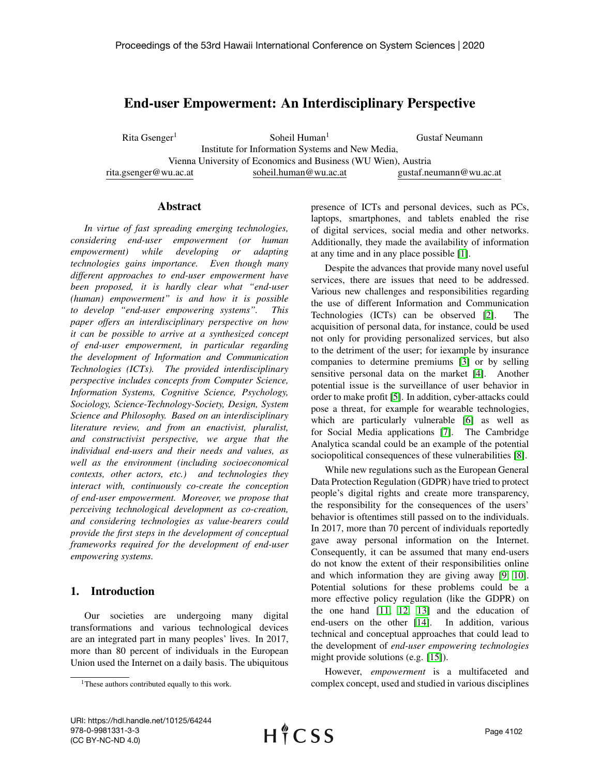# End-user Empowerment: An Interdisciplinary Perspective

Rita Gsenger<sup>1</sup> rita.gsenger@wu.ac.at Soheil Human $<sup>1</sup>$ </sup> Institute for Information Systems and New Media, Vienna University of Economics and Business (WU Wien), Austria soheil.human@wu.ac.at Gustaf Neumann gustaf.neumann@wu.ac.at

#### Abstract

*In virtue of fast spreading emerging technologies, considering end-user empowerment (or human empowerment) while developing or adapting technologies gains importance. Even though many different approaches to end-user empowerment have been proposed, it is hardly clear what "end-user (human) empowerment" is and how it is possible to develop "end-user empowering systems". This paper offers an interdisciplinary perspective on how it can be possible to arrive at a synthesized concept of end-user empowerment, in particular regarding the development of Information and Communication Technologies (ICTs). The provided interdisciplinary perspective includes concepts from Computer Science, Information Systems, Cognitive Science, Psychology, Sociology, Science-Technology-Society, Design, System Science and Philosophy. Based on an interdisciplinary literature review, and from an enactivist, pluralist, and constructivist perspective, we argue that the individual end-users and their needs and values, as well as the environment (including socioeconomical contexts, other actors, etc.) and technologies they interact with, continuously co-create the conception of end-user empowerment. Moreover, we propose that perceiving technological development as co-creation, and considering technologies as value-bearers could provide the first steps in the development of conceptual frameworks required for the development of end-user empowering systems.*

## 1. Introduction

Our societies are undergoing many digital transformations and various technological devices are an integrated part in many peoples' lives. In 2017, more than 80 percent of individuals in the European Union used the Internet on a daily basis. The ubiquitous presence of ICTs and personal devices, such as PCs, laptops, smartphones, and tablets enabled the rise of digital services, social media and other networks. Additionally, they made the availability of information at any time and in any place possible [\[1\]](#page-8-0).

Despite the advances that provide many novel useful services, there are issues that need to be addressed. Various new challenges and responsibilities regarding the use of different Information and Communication Technologies (ICTs) can be observed [\[2\]](#page-8-1). The acquisition of personal data, for instance, could be used not only for providing personalized services, but also to the detriment of the user; for iexample by insurance companies to determine premiums [\[3\]](#page-8-2) or by selling sensitive personal data on the market [\[4\]](#page-8-3). Another potential issue is the surveillance of user behavior in order to make profit [\[5\]](#page-8-4). In addition, cyber-attacks could pose a threat, for example for wearable technologies, which are particularly vulnerable [\[6\]](#page-8-5) as well as for Social Media applications [\[7\]](#page-8-6). The Cambridge Analytica scandal could be an example of the potential sociopolitical consequences of these vulnerabilities [\[8\]](#page-8-7).

While new regulations such as the European General Data Protection Regulation (GDPR) have tried to protect people's digital rights and create more transparency, the responsibility for the consequences of the users' behavior is oftentimes still passed on to the individuals. In 2017, more than 70 percent of individuals reportedly gave away personal information on the Internet. Consequently, it can be assumed that many end-users do not know the extent of their responsibilities online and which information they are giving away [\[9,](#page-8-8) [10\]](#page-8-9). Potential solutions for these problems could be a more effective policy regulation (like the GDPR) on the one hand [\[11,](#page-8-10) [12,](#page-8-11) [13\]](#page-8-12) and the education of end-users on the other [\[14\]](#page-8-13). In addition, various technical and conceptual approaches that could lead to the development of *end-user empowering technologies* might provide solutions (e.g. [\[15\]](#page-8-14)).

However, *empowerment* is a multifaceted and complex concept, used and studied in various disciplines

<sup>1</sup>These authors contributed equally to this work.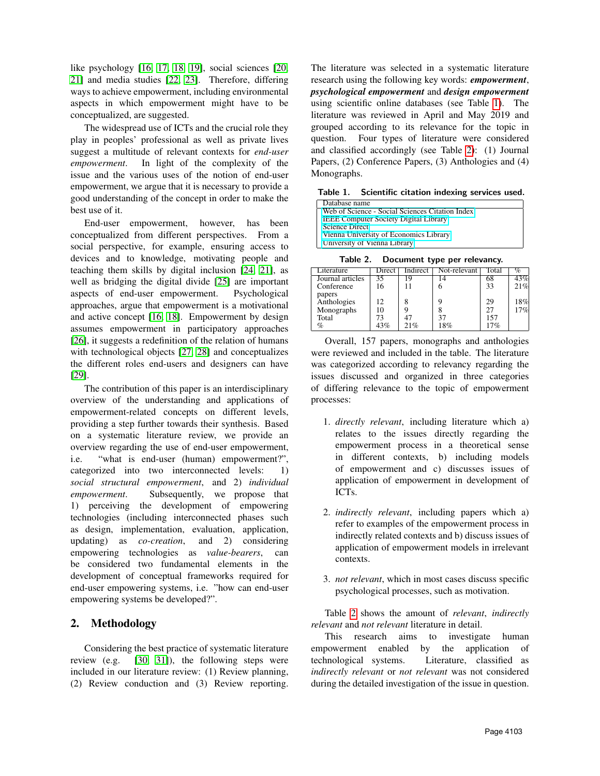like psychology [\[16,](#page-8-15) [17,](#page-8-16) [18,](#page-8-17) [19\]](#page-8-18), social sciences [\[20,](#page-8-19) [21\]](#page-8-20) and media studies [\[22,](#page-8-21) [23\]](#page-8-22). Therefore, differing ways to achieve empowerment, including environmental aspects in which empowerment might have to be conceptualized, are suggested.

The widespread use of ICTs and the crucial role they play in peoples' professional as well as private lives suggest a multitude of relevant contexts for *end-user empowerment*. In light of the complexity of the issue and the various uses of the notion of end-user empowerment, we argue that it is necessary to provide a good understanding of the concept in order to make the best use of it.

End-user empowerment, however, has been conceptualized from different perspectives. From a social perspective, for example, ensuring access to devices and to knowledge, motivating people and teaching them skills by digital inclusion [\[24,](#page-9-0) [21\]](#page-8-20), as well as bridging the digital divide [\[25\]](#page-9-1) are important aspects of end-user empowerment. Psychological approaches, argue that empowerment is a motivational and active concept [\[16,](#page-8-15) [18\]](#page-8-17). Empowerment by design assumes empowerment in participatory approaches [\[26\]](#page-9-2), it suggests a redefinition of the relation of humans with technological objects [\[27,](#page-9-3) [28\]](#page-9-4) and conceptualizes the different roles end-users and designers can have [\[29\]](#page-9-5).

The contribution of this paper is an interdisciplinary overview of the understanding and applications of empowerment-related concepts on different levels, providing a step further towards their synthesis. Based on a systematic literature review, we provide an overview regarding the use of end-user empowerment, i.e. "what is end-user (human) empowerment?", categorized into two interconnected levels: 1) *social structural empowerment*, and 2) *individual empowerment*. Subsequently, we propose that 1) perceiving the development of empowering technologies (including interconnected phases such as design, implementation, evaluation, application, updating) as *co-creation*, and 2) considering empowering technologies as *value-bearers*, can be considered two fundamental elements in the development of conceptual frameworks required for end-user empowering systems, i.e. "how can end-user empowering systems be developed?".

## 2. Methodology

Considering the best practice of systematic literature review (e.g. [\[30,](#page-9-6) [31\]](#page-9-7)), the following steps were included in our literature review: (1) Review planning, (2) Review conduction and (3) Review reporting.

The literature was selected in a systematic literature research using the following key words: *empowerment*, *psychological empowerment* and *design empowerment* using scientific online databases (see Table [1\)](#page-1-0). The literature was reviewed in April and May 2019 and grouped according to its relevance for the topic in question. Four types of literature were considered and classified accordingly (see Table [2\)](#page-1-1): (1) Journal Papers, (2) Conference Papers, (3) Anthologies and (4) Monographs.

<span id="page-1-0"></span>Table 1. Scientific citation indexing services used.

| Database name                                   |
|-------------------------------------------------|
| Web of Science - Social Sciences Citation Index |
| <b>IEEE Computer Society Digital Library</b>    |
| <b>Science Direct</b>                           |
| Vienna University of Economics Library          |
| University of Vienna Library                    |

<span id="page-1-1"></span>Table 2. Document type per relevancy.

|                  |        |          | --           |       |     |
|------------------|--------|----------|--------------|-------|-----|
| Literature       | Direct | Indirect | Not-relevant | Total | %   |
| Journal articles | 35     | Q        |              | 68    | 43% |
| Conference       | 16     |          | O            | 33    | 21% |
| papers           |        |          |              |       |     |
| Anthologies      | 12     |          |              | 29    | 18% |
| Monographs       | 10     |          |              |       | 17% |
| Total            | 73     |          | 37           | 157   |     |
| $\%$             | 43%    | 21%      | 18%          | 7%    |     |

Overall, 157 papers, monographs and anthologies were reviewed and included in the table. The literature was categorized according to relevancy regarding the issues discussed and organized in three categories of differing relevance to the topic of empowerment processes:

- 1. *directly relevant*, including literature which a) relates to the issues directly regarding the empowerment process in a theoretical sense in different contexts, b) including models of empowerment and c) discusses issues of application of empowerment in development of ICTs.
- 2. *indirectly relevant*, including papers which a) refer to examples of the empowerment process in indirectly related contexts and b) discuss issues of application of empowerment models in irrelevant contexts.
- 3. *not relevant*, which in most cases discuss specific psychological processes, such as motivation.

Table [2](#page-1-1) shows the amount of *relevant*, *indirectly relevant* and *not relevant* literature in detail.

This research aims to investigate human empowerment enabled by the application of technological systems. Literature, classified as *indirectly relevant* or *not relevant* was not considered during the detailed investigation of the issue in question.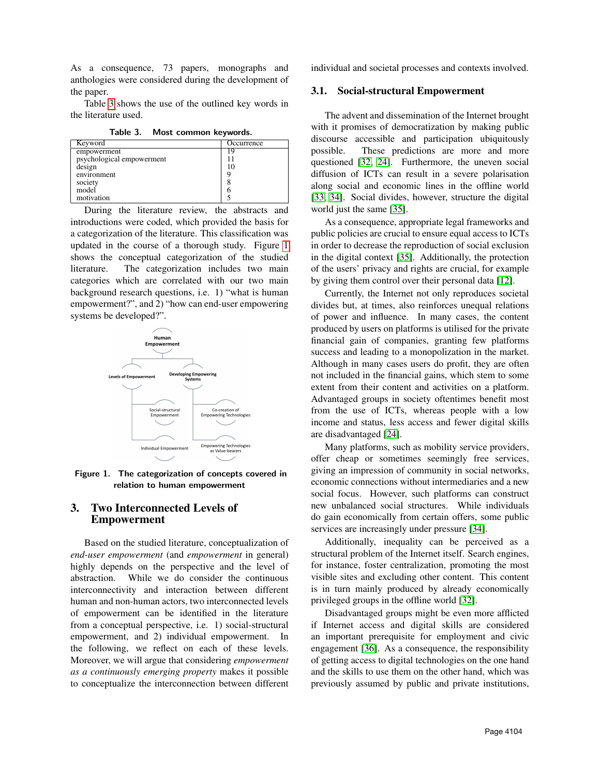As a consequence, 73 papers, monographs and anthologies were considered during the development of the paper.

Table [3](#page-2-0) shows the use of the outlined key words in the literature used.

<span id="page-2-0"></span>Table 3. Most common keywords.

| Keyword                   | Occurrence |
|---------------------------|------------|
| empowerment               | 19         |
| psychological empowerment |            |
| design                    | 10         |
| environment               |            |
| society                   |            |
| model                     | n          |
| motivation                |            |

During the literature review, the abstracts and introductions were coded, which provided the basis for a categorization of the literature. This classification was updated in the course of a thorough study. Figure [1](#page-2-1) shows the conceptual categorization of the studied literature. The categorization includes two main categories which are correlated with our two main background research questions, i.e. 1) "what is human empowerment?", and 2) "how can end-user empowering systems be developed?".



<span id="page-2-1"></span>Figure 1. The categorization of concepts covered in relation to human empowerment

## 3. Two Interconnected Levels of Empowerment

Based on the studied literature, conceptualization of *end-user empowerment* (and *empowerment* in general) highly depends on the perspective and the level of abstraction. While we do consider the continuous interconnectivity and interaction between different human and non-human actors, two interconnected levels of empowerment can be identified in the literature from a conceptual perspective, i.e. 1) social-structural empowerment, and 2) individual empowerment. In the following, we reflect on each of these levels. Moreover, we will argue that considering *empowerment as a continuously emerging property* makes it possible to conceptualize the interconnection between different individual and societal processes and contexts involved.

#### 3.1. Social-structural Empowerment

The advent and dissemination of the Internet brought with it promises of democratization by making public discourse accessible and participation ubiquitously possible. These predictions are more and more questioned [\[32,](#page-9-8) [24\]](#page-9-0). Furthermore, the uneven social diffusion of ICTs can result in a severe polarisation along social and economic lines in the offline world [\[33,](#page-9-9) [34\]](#page-9-10). Social divides, however, structure the digital world just the same [\[35\]](#page-9-11).

As a consequence, appropriate legal frameworks and public policies are crucial to ensure equal access to ICTs in order to decrease the reproduction of social exclusion in the digital context [\[35\]](#page-9-11). Additionally, the protection of the users' privacy and rights are crucial, for example by giving them control over their personal data [\[12\]](#page-8-11).

Currently, the Internet not only reproduces societal divides but, at times, also reinforces unequal relations of power and influence. In many cases, the content produced by users on platforms is utilised for the private financial gain of companies, granting few platforms success and leading to a monopolization in the market. Although in many cases users do profit, they are often not included in the financial gains, which stem to some extent from their content and activities on a platform. Advantaged groups in society oftentimes benefit most from the use of ICTs, whereas people with a low income and status, less access and fewer digital skills are disadvantaged [\[24\]](#page-9-0).

Many platforms, such as mobility service providers, offer cheap or sometimes seemingly free services, giving an impression of community in social networks, economic connections without intermediaries and a new social focus. However, such platforms can construct new unbalanced social structures. While individuals do gain economically from certain offers, some public services are increasingly under pressure [\[34\]](#page-9-10).

Additionally, inequality can be perceived as a structural problem of the Internet itself. Search engines, for instance, foster centralization, promoting the most visible sites and excluding other content. This content is in turn mainly produced by already economically privileged groups in the offline world [\[32\]](#page-9-8).

Disadvantaged groups might be even more afflicted if Internet access and digital skills are considered an important prerequisite for employment and civic engagement [\[36\]](#page-9-12). As a consequence, the responsibility of getting access to digital technologies on the one hand and the skills to use them on the other hand, which was previously assumed by public and private institutions,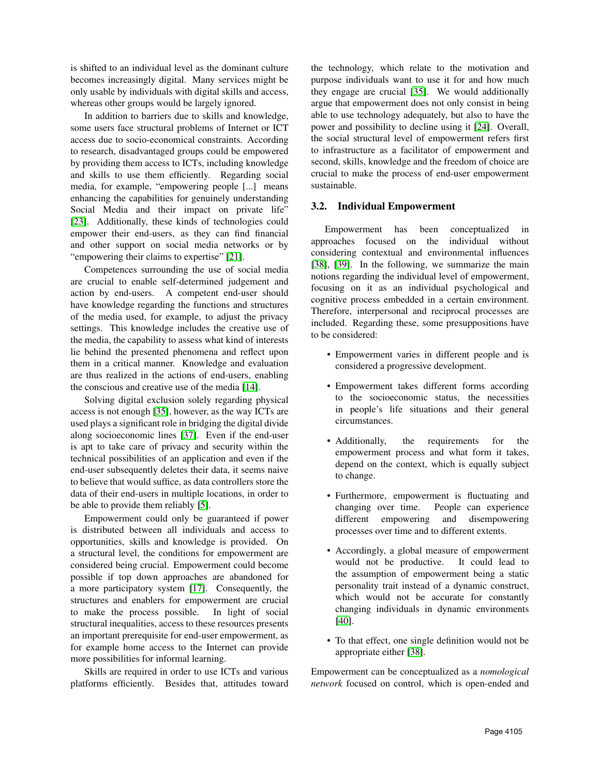is shifted to an individual level as the dominant culture becomes increasingly digital. Many services might be only usable by individuals with digital skills and access, whereas other groups would be largely ignored.

In addition to barriers due to skills and knowledge, some users face structural problems of Internet or ICT access due to socio-economical constraints. According to research, disadvantaged groups could be empowered by providing them access to ICTs, including knowledge and skills to use them efficiently. Regarding social media, for example, "empowering people [...] means enhancing the capabilities for genuinely understanding Social Media and their impact on private life" [\[23\]](#page-8-22). Additionally, these kinds of technologies could empower their end-users, as they can find financial and other support on social media networks or by "empowering their claims to expertise" [\[21\]](#page-8-20).

Competences surrounding the use of social media are crucial to enable self-determined judgement and action by end-users. A competent end-user should have knowledge regarding the functions and structures of the media used, for example, to adjust the privacy settings. This knowledge includes the creative use of the media, the capability to assess what kind of interests lie behind the presented phenomena and reflect upon them in a critical manner. Knowledge and evaluation are thus realized in the actions of end-users, enabling the conscious and creative use of the media [\[14\]](#page-8-13).

Solving digital exclusion solely regarding physical access is not enough [\[35\]](#page-9-11), however, as the way ICTs are used plays a significant role in bridging the digital divide along socioeconomic lines [\[37\]](#page-9-13). Even if the end-user is apt to take care of privacy and security within the technical possibilities of an application and even if the end-user subsequently deletes their data, it seems naive to believe that would suffice, as data controllers store the data of their end-users in multiple locations, in order to be able to provide them reliably [\[5\]](#page-8-4).

Empowerment could only be guaranteed if power is distributed between all individuals and access to opportunities, skills and knowledge is provided. On a structural level, the conditions for empowerment are considered being crucial. Empowerment could become possible if top down approaches are abandoned for a more participatory system [\[17\]](#page-8-16). Consequently, the structures and enablers for empowerment are crucial to make the process possible. In light of social structural inequalities, access to these resources presents an important prerequisite for end-user empowerment, as for example home access to the Internet can provide more possibilities for informal learning.

Skills are required in order to use ICTs and various platforms efficiently. Besides that, attitudes toward the technology, which relate to the motivation and purpose individuals want to use it for and how much they engage are crucial [\[35\]](#page-9-11). We would additionally argue that empowerment does not only consist in being able to use technology adequately, but also to have the power and possibility to decline using it [\[24\]](#page-9-0). Overall, the social structural level of empowerment refers first to infrastructure as a facilitator of empowerment and second, skills, knowledge and the freedom of choice are crucial to make the process of end-user empowerment sustainable.

#### 3.2. Individual Empowerment

Empowerment has been conceptualized in approaches focused on the individual without considering contextual and environmental influences [\[38\]](#page-9-14), [\[39\]](#page-9-15). In the following, we summarize the main notions regarding the individual level of empowerment, focusing on it as an individual psychological and cognitive process embedded in a certain environment. Therefore, interpersonal and reciprocal processes are included. Regarding these, some presuppositions have to be considered:

- Empowerment varies in different people and is considered a progressive development.
- Empowerment takes different forms according to the socioeconomic status, the necessities in people's life situations and their general circumstances.
- Additionally, the requirements for the empowerment process and what form it takes, depend on the context, which is equally subject to change.
- Furthermore, empowerment is fluctuating and changing over time. People can experience different empowering and disempowering processes over time and to different extents.
- Accordingly, a global measure of empowerment would not be productive. It could lead to the assumption of empowerment being a static personality trait instead of a dynamic construct, which would not be accurate for constantly changing individuals in dynamic environments [\[40\]](#page-9-16).
- To that effect, one single definition would not be appropriate either [\[38\]](#page-9-14).

Empowerment can be conceptualized as a *nomological network* focused on control, which is open-ended and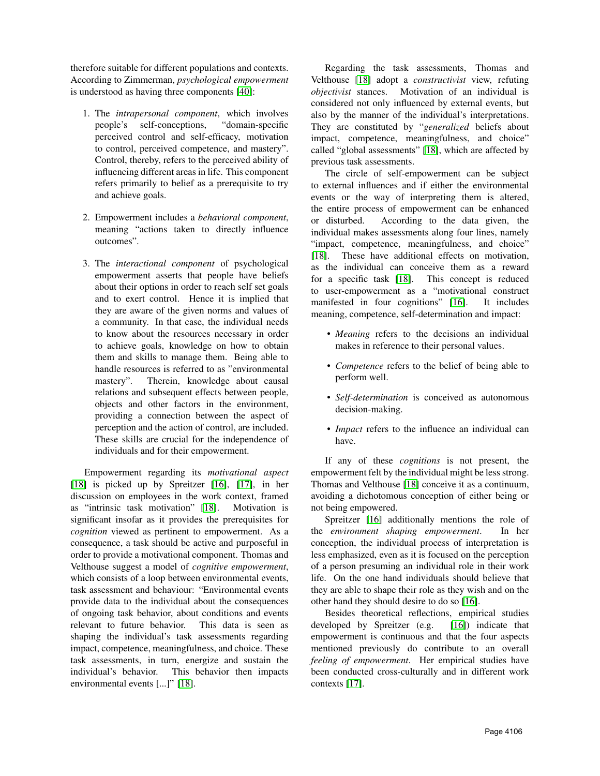therefore suitable for different populations and contexts. According to Zimmerman, *psychological empowerment* is understood as having three components [\[40\]](#page-9-16):

- 1. The *intrapersonal component*, which involves people's self-conceptions, "domain-specific perceived control and self-efficacy, motivation to control, perceived competence, and mastery". Control, thereby, refers to the perceived ability of influencing different areas in life. This component refers primarily to belief as a prerequisite to try and achieve goals.
- 2. Empowerment includes a *behavioral component*, meaning "actions taken to directly influence outcomes".
- 3. The *interactional component* of psychological empowerment asserts that people have beliefs about their options in order to reach self set goals and to exert control. Hence it is implied that they are aware of the given norms and values of a community. In that case, the individual needs to know about the resources necessary in order to achieve goals, knowledge on how to obtain them and skills to manage them. Being able to handle resources is referred to as "environmental mastery". Therein, knowledge about causal relations and subsequent effects between people, objects and other factors in the environment, providing a connection between the aspect of perception and the action of control, are included. These skills are crucial for the independence of individuals and for their empowerment.

Empowerment regarding its *motivational aspect* [\[18\]](#page-8-17) is picked up by Spreitzer [\[16\]](#page-8-15), [\[17\]](#page-8-16), in her discussion on employees in the work context, framed as "intrinsic task motivation" [\[18\]](#page-8-17). Motivation is significant insofar as it provides the prerequisites for *cognition* viewed as pertinent to empowerment. As a consequence, a task should be active and purposeful in order to provide a motivational component. Thomas and Velthouse suggest a model of *cognitive empowerment*, which consists of a loop between environmental events, task assessment and behaviour: "Environmental events provide data to the individual about the consequences of ongoing task behavior, about conditions and events relevant to future behavior. This data is seen as shaping the individual's task assessments regarding impact, competence, meaningfulness, and choice. These task assessments, in turn, energize and sustain the individual's behavior. This behavior then impacts environmental events [...]" [\[18\]](#page-8-17).

Regarding the task assessments, Thomas and Velthouse [\[18\]](#page-8-17) adopt a *constructivist* view, refuting *objectivist* stances. Motivation of an individual is considered not only influenced by external events, but also by the manner of the individual's interpretations. They are constituted by "*generalized* beliefs about impact, competence, meaningfulness, and choice" called "global assessments" [\[18\]](#page-8-17), which are affected by previous task assessments.

The circle of self-empowerment can be subject to external influences and if either the environmental events or the way of interpreting them is altered, the entire process of empowerment can be enhanced or disturbed. According to the data given, the individual makes assessments along four lines, namely "impact, competence, meaningfulness, and choice" [\[18\]](#page-8-17). These have additional effects on motivation, as the individual can conceive them as a reward for a specific task [\[18\]](#page-8-17). This concept is reduced to user-empowerment as a "motivational construct manifested in four cognitions" [\[16\]](#page-8-15). It includes meaning, competence, self-determination and impact:

- *Meaning* refers to the decisions an individual makes in reference to their personal values.
- *Competence* refers to the belief of being able to perform well.
- *Self-determination* is conceived as autonomous decision-making.
- *Impact* refers to the influence an individual can have.

If any of these *cognitions* is not present, the empowerment felt by the individual might be less strong. Thomas and Velthouse [\[18\]](#page-8-17) conceive it as a continuum, avoiding a dichotomous conception of either being or not being empowered.

Spreitzer [\[16\]](#page-8-15) additionally mentions the role of the *environment shaping empowerment*. In her conception, the individual process of interpretation is less emphasized, even as it is focused on the perception of a person presuming an individual role in their work life. On the one hand individuals should believe that they are able to shape their role as they wish and on the other hand they should desire to do so [\[16\]](#page-8-15).

Besides theoretical reflections, empirical studies developed by Spreitzer (e.g. [\[16\]](#page-8-15)) indicate that empowerment is continuous and that the four aspects mentioned previously do contribute to an overall *feeling of empowerment*. Her empirical studies have been conducted cross-culturally and in different work contexts [\[17\]](#page-8-16).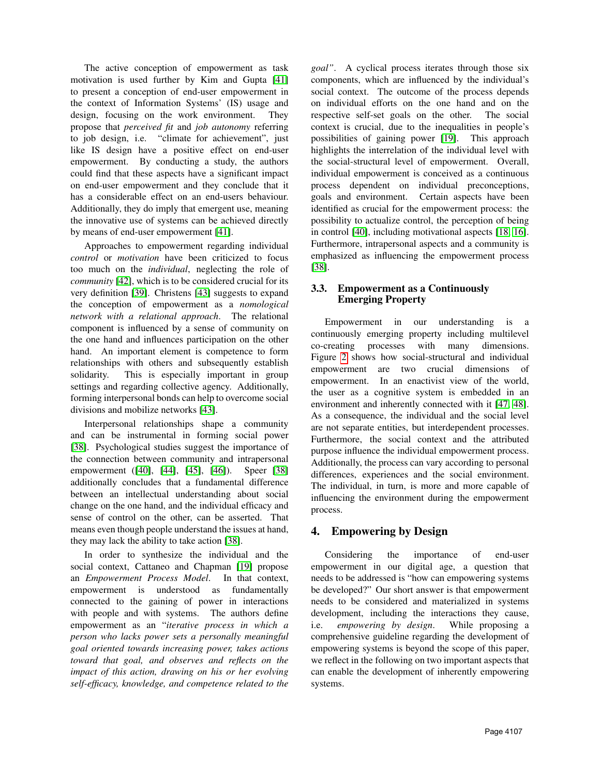The active conception of empowerment as task motivation is used further by Kim and Gupta [\[41\]](#page-9-17) to present a conception of end-user empowerment in the context of Information Systems' (IS) usage and design, focusing on the work environment. They propose that *perceived fit* and *job autonomy* referring to job design, i.e. "climate for achievement", just like IS design have a positive effect on end-user empowerment. By conducting a study, the authors could find that these aspects have a significant impact on end-user empowerment and they conclude that it has a considerable effect on an end-users behaviour. Additionally, they do imply that emergent use, meaning the innovative use of systems can be achieved directly by means of end-user empowerment [\[41\]](#page-9-17).

Approaches to empowerment regarding individual *control* or *motivation* have been criticized to focus too much on the *individual*, neglecting the role of *community* [\[42\]](#page-9-18), which is to be considered crucial for its very definition [\[39\]](#page-9-15). Christens [\[43\]](#page-9-19) suggests to expand the conception of empowerment as a *nomological network with a relational approach*. The relational component is influenced by a sense of community on the one hand and influences participation on the other hand. An important element is competence to form relationships with others and subsequently establish solidarity. This is especially important in group settings and regarding collective agency. Additionally, forming interpersonal bonds can help to overcome social divisions and mobilize networks [\[43\]](#page-9-19).

Interpersonal relationships shape a community and can be instrumental in forming social power [\[38\]](#page-9-14). Psychological studies suggest the importance of the connection between community and intrapersonal empowerment ([\[40\]](#page-9-16), [\[44\]](#page-9-20), [\[45\]](#page-9-21), [\[46\]](#page-9-22)). Speer [\[38\]](#page-9-14) additionally concludes that a fundamental difference between an intellectual understanding about social change on the one hand, and the individual efficacy and sense of control on the other, can be asserted. That means even though people understand the issues at hand, they may lack the ability to take action [\[38\]](#page-9-14).

In order to synthesize the individual and the social context, Cattaneo and Chapman [\[19\]](#page-8-18) propose an *Empowerment Process Model*. In that context, empowerment is understood as fundamentally connected to the gaining of power in interactions with people and with systems. The authors define empowerment as an "*iterative process in which a person who lacks power sets a personally meaningful goal oriented towards increasing power, takes actions toward that goal, and observes and reflects on the impact of this action, drawing on his or her evolving self-efficacy, knowledge, and competence related to the*

*goal"*. A cyclical process iterates through those six components, which are influenced by the individual's social context. The outcome of the process depends on individual efforts on the one hand and on the respective self-set goals on the other. The social context is crucial, due to the inequalities in people's possibilities of gaining power [\[19\]](#page-8-18). This approach highlights the interrelation of the individual level with the social-structural level of empowerment. Overall, individual empowerment is conceived as a continuous process dependent on individual preconceptions, goals and environment. Certain aspects have been identified as crucial for the empowerment process: the possibility to actualize control, the perception of being in control [\[40\]](#page-9-16), including motivational aspects [\[18,](#page-8-17) [16\]](#page-8-15). Furthermore, intrapersonal aspects and a community is emphasized as influencing the empowerment process [\[38\]](#page-9-14).

## 3.3. Empowerment as a Continuously Emerging Property

Empowerment in our understanding is a continuously emerging property including multilevel co-creating processes with many dimensions. Figure [2](#page-6-0) shows how social-structural and individual empowerment are two crucial dimensions of empowerment. In an enactivist view of the world, the user as a cognitive system is embedded in an environment and inherently connected with it [\[47,](#page-9-23) [48\]](#page-9-24). As a consequence, the individual and the social level are not separate entities, but interdependent processes. Furthermore, the social context and the attributed purpose influence the individual empowerment process. Additionally, the process can vary according to personal differences, experiences and the social environment. The individual, in turn, is more and more capable of influencing the environment during the empowerment process.

# 4. Empowering by Design

Considering the importance of end-user empowerment in our digital age, a question that needs to be addressed is "how can empowering systems be developed?" Our short answer is that empowerment needs to be considered and materialized in systems development, including the interactions they cause, i.e. *empowering by design*. While proposing a comprehensive guideline regarding the development of empowering systems is beyond the scope of this paper, we reflect in the following on two important aspects that can enable the development of inherently empowering systems.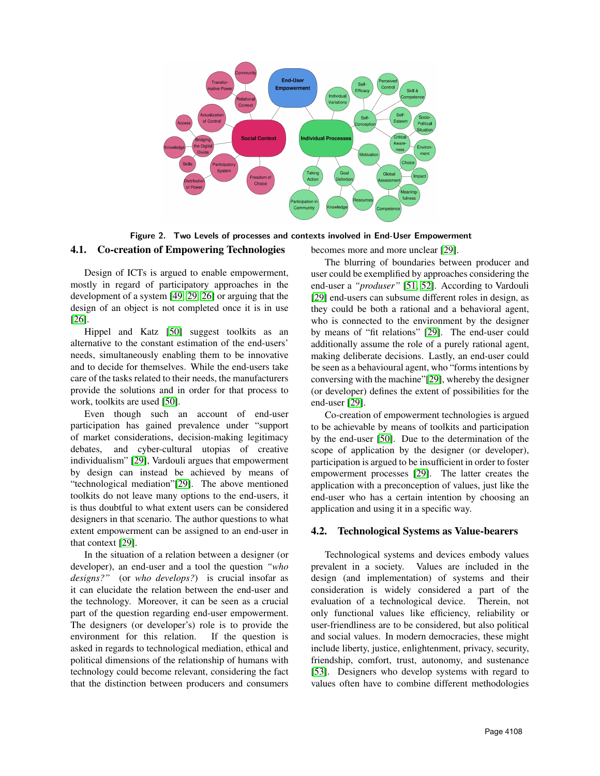

<span id="page-6-0"></span>Figure 2. Two Levels of processes and contexts involved in End-User Empowerment 4.1. Co-creation of Empowering Technologies becomes more and more unclear [\[29\]](#page-9-5).

Design of ICTs is argued to enable empowerment, mostly in regard of participatory approaches in the development of a system [\[49,](#page-9-25) [29,](#page-9-5) [26\]](#page-9-2) or arguing that the design of an object is not completed once it is in use [\[26\]](#page-9-2).

Hippel and Katz [\[50\]](#page-9-26) suggest toolkits as an alternative to the constant estimation of the end-users' needs, simultaneously enabling them to be innovative and to decide for themselves. While the end-users take care of the tasks related to their needs, the manufacturers provide the solutions and in order for that process to work, toolkits are used [\[50\]](#page-9-26).

Even though such an account of end-user participation has gained prevalence under "support of market considerations, decision-making legitimacy debates, and cyber-cultural utopias of creative individualism" [\[29\]](#page-9-5), Vardouli argues that empowerment by design can instead be achieved by means of "technological mediation"[\[29\]](#page-9-5). The above mentioned toolkits do not leave many options to the end-users, it is thus doubtful to what extent users can be considered designers in that scenario. The author questions to what extent empowerment can be assigned to an end-user in that context [\[29\]](#page-9-5).

In the situation of a relation between a designer (or developer), an end-user and a tool the question *"who designs?"* (or *who develops?*) is crucial insofar as it can elucidate the relation between the end-user and the technology. Moreover, it can be seen as a crucial part of the question regarding end-user empowerment. The designers (or developer's) role is to provide the environment for this relation. If the question is asked in regards to technological mediation, ethical and political dimensions of the relationship of humans with technology could become relevant, considering the fact that the distinction between producers and consumers

The blurring of boundaries between producer and user could be exemplified by approaches considering the end-user a *"produser"* [\[51,](#page-9-27) [52\]](#page-9-28). According to Vardouli [\[29\]](#page-9-5) end-users can subsume different roles in design, as they could be both a rational and a behavioral agent, who is connected to the environment by the designer by means of "fit relations" [\[29\]](#page-9-5). The end-user could additionally assume the role of a purely rational agent, making deliberate decisions. Lastly, an end-user could be seen as a behavioural agent, who "forms intentions by conversing with the machine"[\[29\]](#page-9-5), whereby the designer (or developer) defines the extent of possibilities for the end-user [\[29\]](#page-9-5).

Co-creation of empowerment technologies is argued to be achievable by means of toolkits and participation by the end-user [\[50\]](#page-9-26). Due to the determination of the scope of application by the designer (or developer), participation is argued to be insufficient in order to foster empowerment processes [\[29\]](#page-9-5). The latter creates the application with a preconception of values, just like the end-user who has a certain intention by choosing an application and using it in a specific way.

#### 4.2. Technological Systems as Value-bearers

Technological systems and devices embody values prevalent in a society. Values are included in the design (and implementation) of systems and their consideration is widely considered a part of the evaluation of a technological device. Therein, not only functional values like efficiency, reliability or user-friendliness are to be considered, but also political and social values. In modern democracies, these might include liberty, justice, enlightenment, privacy, security, friendship, comfort, trust, autonomy, and sustenance [\[53\]](#page-9-29). Designers who develop systems with regard to values often have to combine different methodologies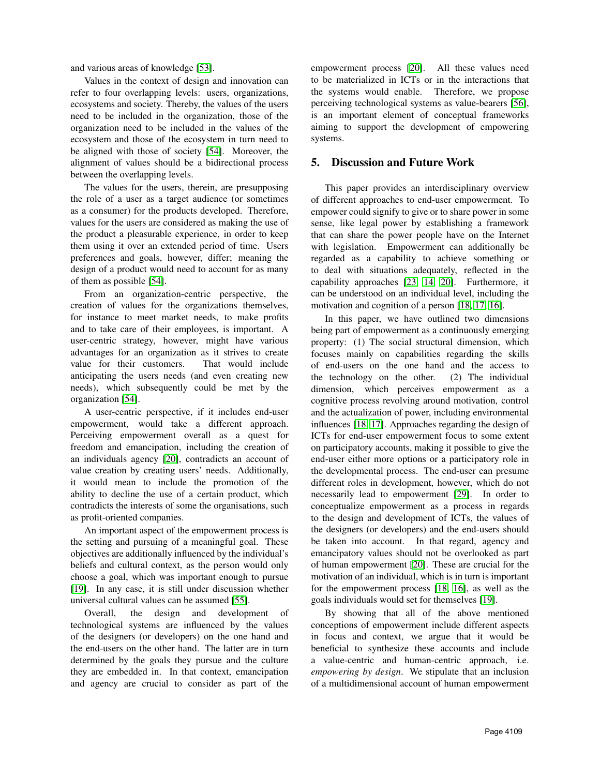and various areas of knowledge [\[53\]](#page-9-29).

Values in the context of design and innovation can refer to four overlapping levels: users, organizations, ecosystems and society. Thereby, the values of the users need to be included in the organization, those of the organization need to be included in the values of the ecosystem and those of the ecosystem in turn need to be aligned with those of society [\[54\]](#page-9-30). Moreover, the alignment of values should be a bidirectional process between the overlapping levels.

The values for the users, therein, are presupposing the role of a user as a target audience (or sometimes as a consumer) for the products developed. Therefore, values for the users are considered as making the use of the product a pleasurable experience, in order to keep them using it over an extended period of time. Users preferences and goals, however, differ; meaning the design of a product would need to account for as many of them as possible [\[54\]](#page-9-30).

From an organization-centric perspective, the creation of values for the organizations themselves, for instance to meet market needs, to make profits and to take care of their employees, is important. A user-centric strategy, however, might have various advantages for an organization as it strives to create value for their customers. That would include anticipating the users needs (and even creating new needs), which subsequently could be met by the organization [\[54\]](#page-9-30).

A user-centric perspective, if it includes end-user empowerment, would take a different approach. Perceiving empowerment overall as a quest for freedom and emancipation, including the creation of an individuals agency [\[20\]](#page-8-19), contradicts an account of value creation by creating users' needs. Additionally, it would mean to include the promotion of the ability to decline the use of a certain product, which contradicts the interests of some the organisations, such as profit-oriented companies.

An important aspect of the empowerment process is the setting and pursuing of a meaningful goal. These objectives are additionally influenced by the individual's beliefs and cultural context, as the person would only choose a goal, which was important enough to pursue [\[19\]](#page-8-18). In any case, it is still under discussion whether universal cultural values can be assumed [\[55\]](#page-9-31).

Overall, the design and development of technological systems are influenced by the values of the designers (or developers) on the one hand and the end-users on the other hand. The latter are in turn determined by the goals they pursue and the culture they are embedded in. In that context, emancipation and agency are crucial to consider as part of the

empowerment process [\[20\]](#page-8-19). All these values need to be materialized in ICTs or in the interactions that the systems would enable. Therefore, we propose perceiving technological systems as value-bearers [\[56\]](#page-9-32), is an important element of conceptual frameworks aiming to support the development of empowering systems.

# 5. Discussion and Future Work

This paper provides an interdisciplinary overview of different approaches to end-user empowerment. To empower could signify to give or to share power in some sense, like legal power by establishing a framework that can share the power people have on the Internet with legislation. Empowerment can additionally be regarded as a capability to achieve something or to deal with situations adequately, reflected in the capability approaches [\[23,](#page-8-22) [14,](#page-8-13) [20\]](#page-8-19). Furthermore, it can be understood on an individual level, including the motivation and cognition of a person [\[18,](#page-8-17) [17,](#page-8-16) [16\]](#page-8-15).

In this paper, we have outlined two dimensions being part of empowerment as a continuously emerging property: (1) The social structural dimension, which focuses mainly on capabilities regarding the skills of end-users on the one hand and the access to the technology on the other. (2) The individual dimension, which perceives empowerment as a cognitive process revolving around motivation, control and the actualization of power, including environmental influences [\[18,](#page-8-17) [17\]](#page-8-16). Approaches regarding the design of ICTs for end-user empowerment focus to some extent on participatory accounts, making it possible to give the end-user either more options or a participatory role in the developmental process. The end-user can presume different roles in development, however, which do not necessarily lead to empowerment [\[29\]](#page-9-5). In order to conceptualize empowerment as a process in regards to the design and development of ICTs, the values of the designers (or developers) and the end-users should be taken into account. In that regard, agency and emancipatory values should not be overlooked as part of human empowerment [\[20\]](#page-8-19). These are crucial for the motivation of an individual, which is in turn is important for the empowerment process [\[18,](#page-8-17) [16\]](#page-8-15), as well as the goals individuals would set for themselves [\[19\]](#page-8-18).

By showing that all of the above mentioned conceptions of empowerment include different aspects in focus and context, we argue that it would be beneficial to synthesize these accounts and include a value-centric and human-centric approach, i.e. *empowering by design*. We stipulate that an inclusion of a multidimensional account of human empowerment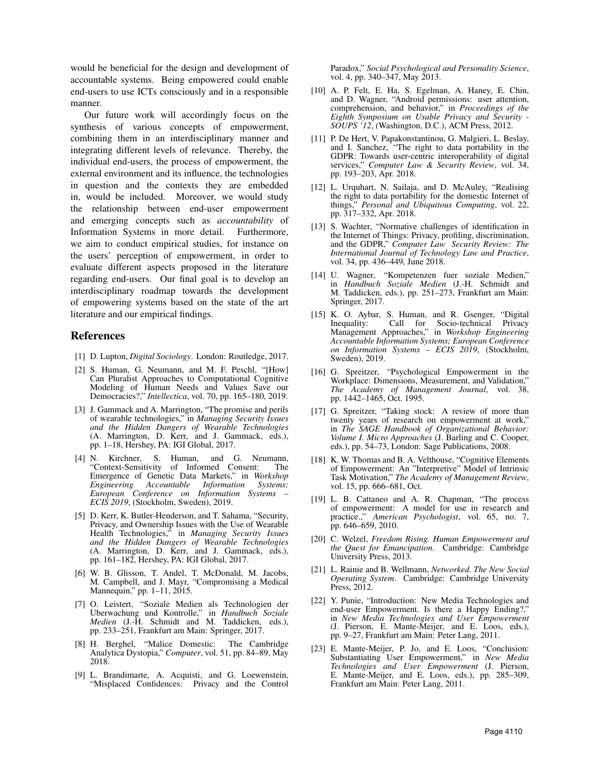would be beneficial for the design and development of accountable systems. Being empowered could enable end-users to use ICTs consciously and in a responsible manner.

Our future work will accordingly focus on the synthesis of various concepts of empowerment, combining them in an interdisciplinary manner and integrating different levels of relevance. Thereby, the individual end-users, the process of empowerment, the external environment and its influence, the technologies in question and the contexts they are embedded in, would be included. Moreover, we would study the relationship between end-user empowerment and emerging concepts such as *accountability* of Information Systems in more detail. Furthermore, we aim to conduct empirical studies, for instance on the users' perception of empowerment, in order to evaluate different aspects proposed in the literature regarding end-users. Our final goal is to develop an interdisciplinary roadmap towards the development of empowering systems based on the state of the art literature and our empirical findings.

#### References

- <span id="page-8-0"></span>[1] D. Lupton, *Digital Sociology*. London: Routledge, 2017.
- <span id="page-8-1"></span>[2] S. Human, G. Neumann, and M. F. Peschl, "[How] Can Pluralist Approaches to Computational Cognitive Modeling of Human Needs and Values Save our Democracies?," *Intellectica*, vol. 70, pp. 165–180, 2019.
- <span id="page-8-2"></span>[3] J. Gammack and A. Marrington, "The promise and perils of wearable technologies," in *Managing Security Issues and the Hidden Dangers of Wearable Technologies* (A. Marrington, D. Kerr, and J. Gammack, eds.), pp. 1–18, Hershey, PA: IGI Global, 2017.
- <span id="page-8-3"></span>[4] N. Kirchner, S. Human, and G. Neumann, "Context-Sensitivity of Informed Consent: The Emergence of Genetic Data Markets," in *Workshop Engineering Accountable Information Systems; European Conference on Information Systems – ECIS 2019*, (Stockholm, Sweden), 2019.
- <span id="page-8-4"></span>[5] D. Kerr, K. Butler-Henderson, and T. Sahama, "Security, Privacy, and Ownership Issues with the Use of Wearable Health Technologies," in *Managing Security Issues and the Hidden Dangers of Wearable Technologies* (A. Marrington, D. Kerr, and J. Gammack, eds.), pp. 161–182, Hershey, PA: IGI Global, 2017.
- <span id="page-8-5"></span>[6] W. B. Glisson, T. Andel, T. McDonald, M. Jacobs, M. Campbell, and J. Mayr, "Compromising a Medical Mannequin," pp. 1–11, 2015.
- <span id="page-8-6"></span>[7] O. Leistert, "Soziale Medien als Technologien der Uberwachung und Kontrolle," in *Handbuch Soziale Medien* (J.-H. Schmidt and M. Taddicken, eds.), pp. 233–251, Frankfurt am Main: Springer, 2017.
- <span id="page-8-7"></span>[8] H. Berghel, "Malice Domestic: The Cambridge Analytica Dystopia," *Computer*, vol. 51, pp. 84–89, May 2018.
- <span id="page-8-8"></span>[9] L. Brandimarte, A. Acquisti, and G. Loewenstein, "Misplaced Confidences: Privacy and the Control

Paradox," *Social Psychological and Personality Science*, vol. 4, pp. 340–347, May 2013.

- <span id="page-8-9"></span>[10] A. P. Felt, E. Ha, S. Egelman, A. Haney, E. Chin, and D. Wagner, "Android permissions: user attention, comprehension, and behavior," in *Proceedings of the Eighth Symposium on Usable Privacy and Security - SOUPS '12*, (Washington, D.C.), ACM Press, 2012.
- <span id="page-8-10"></span>[11] P. De Hert, V. Papakonstantinou, G. Malgieri, L. Beslay, and I. Sanchez, "The right to data portability in the GDPR: Towards user-centric interoperability of digital services," *Computer Law & Security Review*, vol. 34, pp. 193–203, Apr. 2018.
- <span id="page-8-11"></span>[12] L. Urquhart, N. Sailaja, and D. McAuley, "Realising the right to data portability for the domestic Internet of things," *Personal and Ubiquitous Computing*, vol. 22, pp. 317–332, Apr. 2018.
- <span id="page-8-12"></span>[13] S. Wachter, "Normative challenges of identification in the Internet of Things: Privacy, profiling, discrimination, and the GDPR," *Computer Law Security Review: The International Journal of Technology Law and Practice*, vol. 34, pp. 436–449, June 2018.
- <span id="page-8-13"></span>[14] U. Wagner, "Kompetenzen fuer soziale Medien," in *Handbuch Soziale Medien* (J.-H. Schmidt and M. Taddicken, eds.), pp. 251–273, Frankfurt am Main: Springer, 2017.
- <span id="page-8-14"></span>[15] K. O. Aybar, S. Human, and R. Gsenger, "Digital Call for Socio-technical Privacy Management Approaches," in *Workshop Engineering Accountable Information Systems; European Conference on Information Systems – ECIS 2019*, (Stockholm, Sweden), 2019.
- <span id="page-8-15"></span>[16] G. Spreitzer, "Psychological Empowerment in the Workplace: Dimensions, Measurement, and Validation," *The Academy of Management Journal*, vol. 38, pp. 1442–1465, Oct. 1995.
- <span id="page-8-16"></span>[17] G. Spreitzer, "Taking stock: A review of more than twenty years of research on empowerment at work," in *The SAGE Handbook of Organizational Behavior: Volume I. Micro Approaches* (J. Barling and C. Cooper, eds.), pp. 54–73, London: Sage Publications, 2008.
- <span id="page-8-17"></span>[18] K. W. Thomas and B. A. Velthouse, "Cognitive Elements of Empowerment: An "Interpretive" Model of Intrinsic Task Motivation," *The Academy of Management Review*, vol. 15, pp. 666–681, Oct.
- <span id="page-8-18"></span>[19] L. B. Cattaneo and A. R. Chapman, "The process of empowerment: A model for use in research and practice.," *American Psychologist*, vol. 65, no. 7, pp. 646–659, 2010.
- <span id="page-8-19"></span>[20] C. Welzel, *Freedom Rising. Human Empowerment and the Quest for Emancipation*. Cambridge: Cambridge University Press, 2013.
- <span id="page-8-20"></span>[21] L. Rainie and B. Wellmann, *Networked. The New Social Operating System*. Cambridge: Cambridge University Press, 2012.
- <span id="page-8-21"></span>[22] Y. Punie, "Introduction: New Media Technologies and end-user Empowerment. Is there a Happy Ending?," in *New Media Technologies and User Empowerment* (J. Pierson, E. Mante-Meijer, and E. Loos, eds.), pp. 9–27, Frankfurt am Main: Peter Lang, 2011.
- <span id="page-8-22"></span>[23] E. Mante-Meijer, P. Jo, and E. Loos, "Conclusion: Substantiating User Empowerment," in *New Media Technologies and User Empowerment* (J. Pierson, E. Mante-Meijer, and E. Loos, eds.), pp. 285–309, Frankfurt am Main: Peter Lang, 2011.